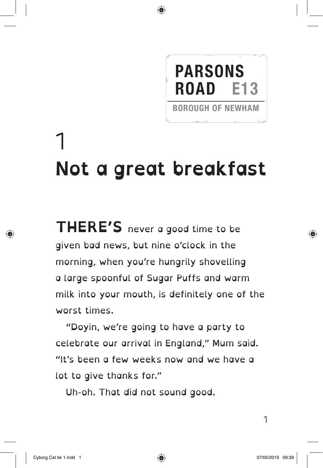## **PARSONS ROAD E13**

**BOROUGH OF NEWHAM** 

1 **Not a great breakfast**

**THERE'S** never a good time to be given bad news, but nine o'clock in the morning, when you're hungrily shovelling a large spoonful of Sugar Puffs and warm milk into your mouth, is definitely one of the worst times.

"Doyin, we're going to have a party to celebrate our arrival in England," Mum said. "It's been a few weeks now and we have a lot to give thanks for."

Uh-oh. That did not sound good.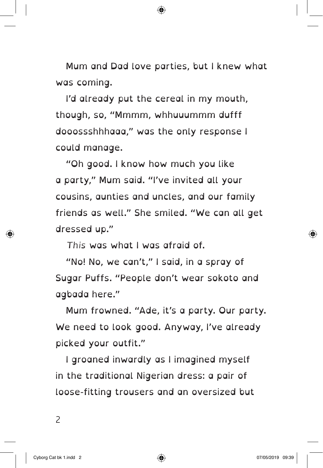Mum and Dad love parties, but I knew what was coming.

I'd already put the cereal in my mouth, though, so, "Mmmm, whhuuummm dufff dooossshhhaaa," was the only response I could manage.

"Oh good. I know how much you like a party," Mum said. "I've invited all your cousins, aunties and uncles, and our family friends as well." She smiled. "We can all get dressed up."

*This* was what I was afraid of.

"No! No, we can't," I said, in a spray of Sugar Puffs. "People don't wear sokoto and agbada here."

Mum frowned. "Ade, it's a party. Our party. We need to look good. Anyway, I've already picked your outfit."

I groaned inwardly as I imagined myself in the traditional Nigerian dress: a pair of loose-fitting trousers and an oversized but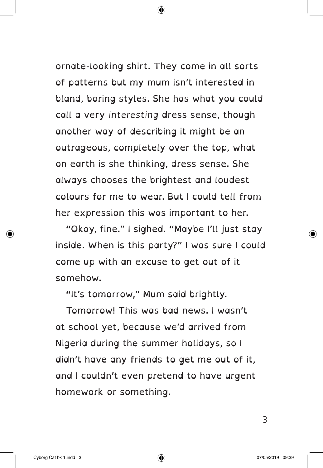ornate-looking shirt. They come in all sorts of patterns but my mum isn't interested in bland, boring styles. She has what you could call a very *interesting* dress sense, though another way of describing it might be an outrageous, completely over the top, what on earth is she thinking, dress sense. She always chooses the brightest and loudest colours for me to wear. But I could tell from her expression this was important to her.

"Okay, fine." I sighed. "Maybe I'll just stay inside. When is this party?" I was sure I could come up with an excuse to get out of it somehow.

"It's tomorrow," Mum said brightly.

Tomorrow! This was bad news. I wasn't at school yet, because we'd arrived from Nigeria during the summer holidays, so I didn't have any friends to get me out of it, and I couldn't even pretend to have urgent homework or something.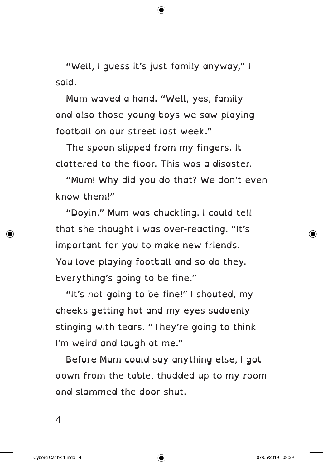"Well, I guess it's just family anyway," I said.

Mum waved a hand. "Well, yes, family and also those young boys we saw playing football on our street last week."

The spoon slipped from my fingers. It clattered to the floor. This was a disaster.

"Mum! Why did you do that? We don't even know them!"

"Doyin." Mum was chuckling. I could tell that she thought I was over-reacting. "It's important for you to make new friends. You love playing football and so do they. Everything's going to be fine."

"It's *not* going to be fine!" I shouted, my cheeks getting hot and my eyes suddenly stinging with tears. "They're going to think I'm weird and laugh at me."

Before Mum could say anything else, I got down from the table, thudded up to my room and slammed the door shut.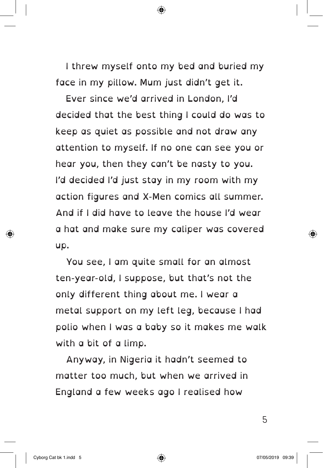I threw myself onto my bed and buried my face in my pillow. Mum just didn't get it.

Ever since we'd arrived in London, I'd decided that the best thing I could do was to keep as quiet as possible and not draw any attention to myself. If no one can see you or hear you, then they can't be nasty to you. I'd decided I'd just stay in my room with my action figures and X-Men comics all summer. And if I did have to leave the house I'd wear a hat and make sure my caliper was covered up.

You see, I am quite small for an almost ten-year-old, I suppose, but that's not the only different thing about me. I wear a metal support on my left leg, because I had polio when I was a baby so it makes me walk with a bit of a limp.

Anyway, in Nigeria it hadn't seemed to matter too much, but when we arrived in England a few weeks ago I realised how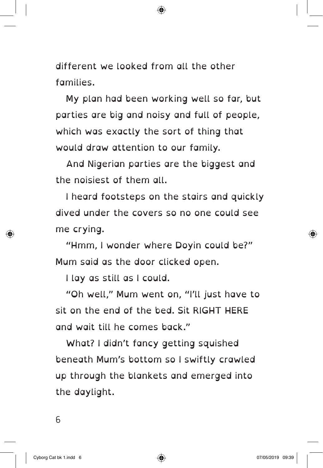different we looked from all the other families.

My plan had been working well so far, but parties are big and noisy and full of people, which was exactly the sort of thing that would draw attention to our family.

And Nigerian parties are the biggest and the noisiest of them all.

I heard footsteps on the stairs and quickly dived under the covers so no one could see me crying.

"Hmm, I wonder where Doyin could be?" Mum said as the door clicked open.

I lay as still as I could.

"Oh well," Mum went on, "I'll just have to sit on the end of the bed. Sit RIGHT HERE and wait till he comes back."

What? I didn't fancy getting squished beneath Mum's bottom so I swiftly crawled up through the blankets and emerged into the daylight.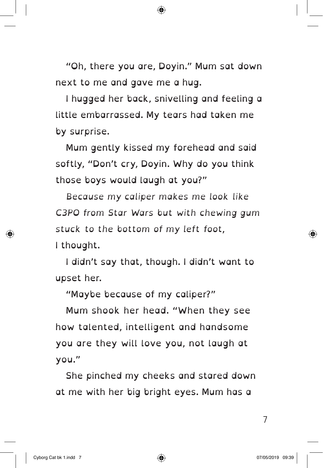"Oh, there you are, Doyin." Mum sat down next to me and gave me a hug.

I hugged her back, snivelling and feeling a little embarrassed. My tears had taken me by surprise.

Mum gently kissed my forehead and said softly, "Don't cry, Doyin. Why do you think those boys would laugh at you?"

*Because my caliper makes me look like C3PO from Star Wars but with chewing gum stuck to the bottom of my left foot*, I thought.

I didn't say that, though. I didn't want to upset her.

"Maybe because of my caliper?"

Mum shook her head. "When they see how talented, intelligent and handsome you are they will love you, not laugh at you."

She pinched my cheeks and stared down at me with her big bright eyes. Mum has a